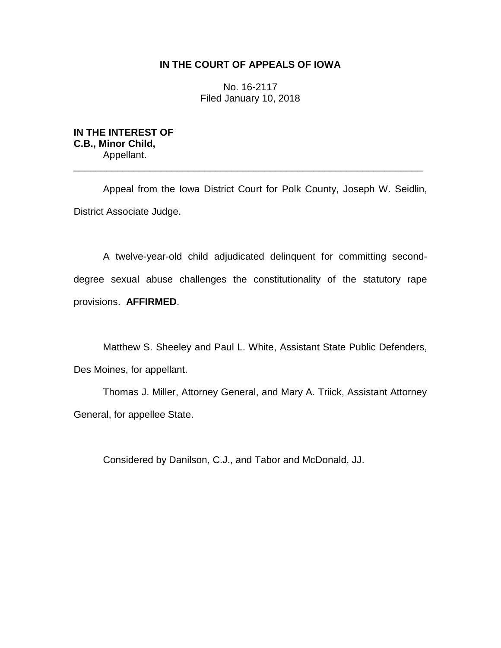# **IN THE COURT OF APPEALS OF IOWA**

No. 16-2117 Filed January 10, 2018

**IN THE INTEREST OF C.B., Minor Child,** Appellant.

Appeal from the Iowa District Court for Polk County, Joseph W. Seidlin, District Associate Judge.

\_\_\_\_\_\_\_\_\_\_\_\_\_\_\_\_\_\_\_\_\_\_\_\_\_\_\_\_\_\_\_\_\_\_\_\_\_\_\_\_\_\_\_\_\_\_\_\_\_\_\_\_\_\_\_\_\_\_\_\_\_\_\_\_

A twelve-year-old child adjudicated delinquent for committing seconddegree sexual abuse challenges the constitutionality of the statutory rape provisions. **AFFIRMED**.

Matthew S. Sheeley and Paul L. White, Assistant State Public Defenders, Des Moines, for appellant.

Thomas J. Miller, Attorney General, and Mary A. Triick, Assistant Attorney General, for appellee State.

Considered by Danilson, C.J., and Tabor and McDonald, JJ.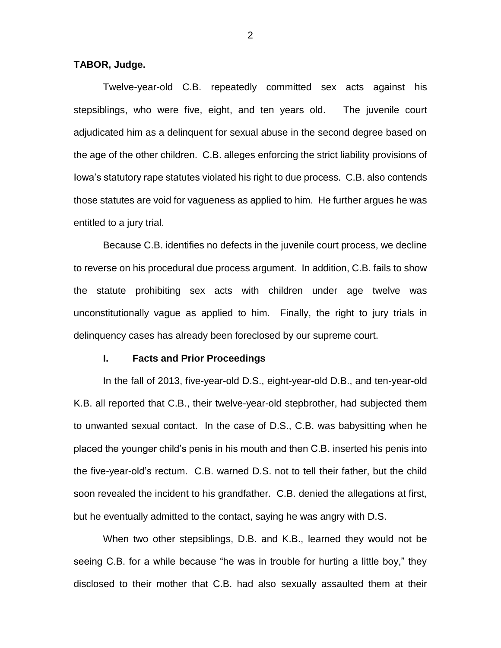## **TABOR, Judge.**

Twelve-year-old C.B. repeatedly committed sex acts against his stepsiblings, who were five, eight, and ten years old. The juvenile court adjudicated him as a delinquent for sexual abuse in the second degree based on the age of the other children. C.B. alleges enforcing the strict liability provisions of Iowa's statutory rape statutes violated his right to due process. C.B. also contends those statutes are void for vagueness as applied to him. He further argues he was entitled to a jury trial.

Because C.B. identifies no defects in the juvenile court process, we decline to reverse on his procedural due process argument. In addition, C.B. fails to show the statute prohibiting sex acts with children under age twelve was unconstitutionally vague as applied to him. Finally, the right to jury trials in delinquency cases has already been foreclosed by our supreme court.

### **I. Facts and Prior Proceedings**

In the fall of 2013, five-year-old D.S., eight-year-old D.B., and ten-year-old K.B. all reported that C.B., their twelve-year-old stepbrother, had subjected them to unwanted sexual contact. In the case of D.S., C.B. was babysitting when he placed the younger child's penis in his mouth and then C.B. inserted his penis into the five-year-old's rectum. C.B. warned D.S. not to tell their father, but the child soon revealed the incident to his grandfather. C.B. denied the allegations at first, but he eventually admitted to the contact, saying he was angry with D.S.

When two other stepsiblings, D.B. and K.B., learned they would not be seeing C.B. for a while because "he was in trouble for hurting a little boy," they disclosed to their mother that C.B. had also sexually assaulted them at their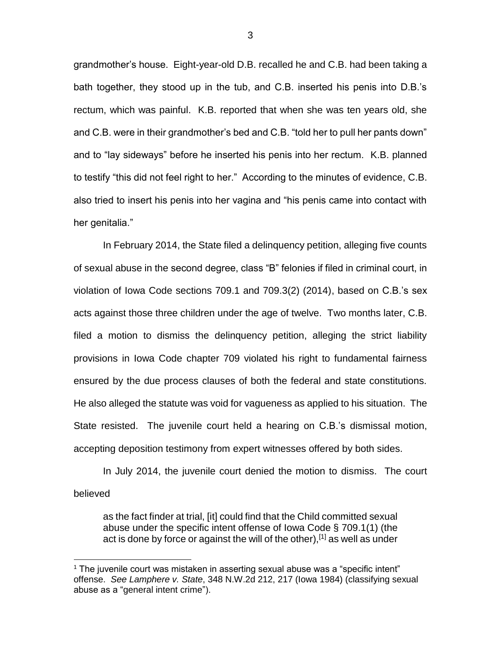grandmother's house. Eight-year-old D.B. recalled he and C.B. had been taking a bath together, they stood up in the tub, and C.B. inserted his penis into D.B.'s rectum, which was painful. K.B. reported that when she was ten years old, she and C.B. were in their grandmother's bed and C.B. "told her to pull her pants down" and to "lay sideways" before he inserted his penis into her rectum. K.B. planned to testify "this did not feel right to her." According to the minutes of evidence, C.B. also tried to insert his penis into her vagina and "his penis came into contact with her genitalia."

In February 2014, the State filed a delinquency petition, alleging five counts of sexual abuse in the second degree, class "B" felonies if filed in criminal court, in violation of Iowa Code sections 709.1 and 709.3(2) (2014), based on C.B.'s sex acts against those three children under the age of twelve. Two months later, C.B. filed a motion to dismiss the delinquency petition, alleging the strict liability provisions in Iowa Code chapter 709 violated his right to fundamental fairness ensured by the due process clauses of both the federal and state constitutions. He also alleged the statute was void for vagueness as applied to his situation. The State resisted. The juvenile court held a hearing on C.B.'s dismissal motion, accepting deposition testimony from expert witnesses offered by both sides.

In July 2014, the juvenile court denied the motion to dismiss. The court believed

as the fact finder at trial, [it] could find that the Child committed sexual abuse under the specific intent offense of Iowa Code § 709.1(1) (the act is done by force or against the will of the other),<sup>[1]</sup> as well as under

 $\overline{a}$ 

3

 $1$  The juvenile court was mistaken in asserting sexual abuse was a "specific intent" offense. *See Lamphere v. State*, 348 N.W.2d 212, 217 (Iowa 1984) (classifying sexual abuse as a "general intent crime").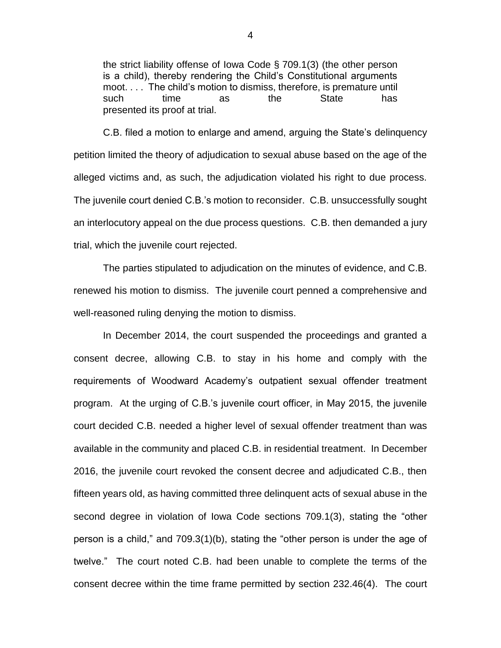the strict liability offense of Iowa Code § 709.1(3) (the other person is a child), thereby rendering the Child's Constitutional arguments moot. . . . The child's motion to dismiss, therefore, is premature until such time as the State has presented its proof at trial.

C.B. filed a motion to enlarge and amend, arguing the State's delinquency petition limited the theory of adjudication to sexual abuse based on the age of the alleged victims and, as such, the adjudication violated his right to due process. The juvenile court denied C.B.'s motion to reconsider. C.B. unsuccessfully sought an interlocutory appeal on the due process questions. C.B. then demanded a jury trial, which the juvenile court rejected.

The parties stipulated to adjudication on the minutes of evidence, and C.B. renewed his motion to dismiss. The juvenile court penned a comprehensive and well-reasoned ruling denying the motion to dismiss.

In December 2014, the court suspended the proceedings and granted a consent decree, allowing C.B. to stay in his home and comply with the requirements of Woodward Academy's outpatient sexual offender treatment program. At the urging of C.B.'s juvenile court officer, in May 2015, the juvenile court decided C.B. needed a higher level of sexual offender treatment than was available in the community and placed C.B. in residential treatment. In December 2016, the juvenile court revoked the consent decree and adjudicated C.B., then fifteen years old, as having committed three delinquent acts of sexual abuse in the second degree in violation of Iowa Code sections 709.1(3), stating the "other person is a child," and 709.3(1)(b), stating the "other person is under the age of twelve." The court noted C.B. had been unable to complete the terms of the consent decree within the time frame permitted by section 232.46(4). The court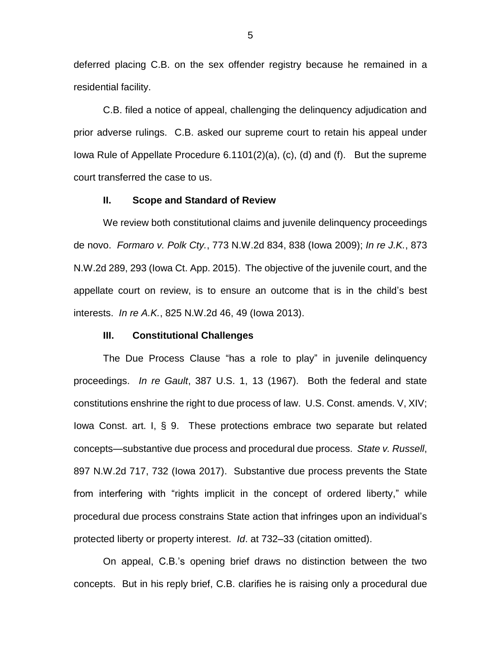deferred placing C.B. on the sex offender registry because he remained in a residential facility.

C.B. filed a notice of appeal, challenging the delinquency adjudication and prior adverse rulings. C.B. asked our supreme court to retain his appeal under Iowa Rule of Appellate Procedure 6.1101(2)(a), (c), (d) and (f). But the supreme court transferred the case to us.

#### **II. Scope and Standard of Review**

We review both constitutional claims and juvenile delinquency proceedings de novo. *Formaro v. Polk Cty.*, 773 N.W.2d 834, 838 (Iowa 2009); *In re J.K.*, 873 N.W.2d 289, 293 (Iowa Ct. App. 2015). The objective of the juvenile court, and the appellate court on review, is to ensure an outcome that is in the child's best interests. *In re A.K.*, 825 N.W.2d 46, 49 (Iowa 2013).

## **III. Constitutional Challenges**

The Due Process Clause "has a role to play" in juvenile delinquency proceedings. *In re Gault*, 387 U.S. 1, 13 (1967). Both the federal and state constitutions enshrine the right to due process of law. U.S. Const. amends. V, XIV; Iowa Const. art. I, § 9. These protections embrace two separate but related concepts—substantive due process and procedural due process. *State v. Russell*, 897 N.W.2d 717, 732 (Iowa 2017). Substantive due process prevents the State from interfering with "rights implicit in the concept of ordered liberty," while procedural due process constrains State action that infringes upon an individual's protected liberty or property interest. *Id*. at 732–33 (citation omitted).

On appeal, C.B.'s opening brief draws no distinction between the two concepts. But in his reply brief, C.B. clarifies he is raising only a procedural due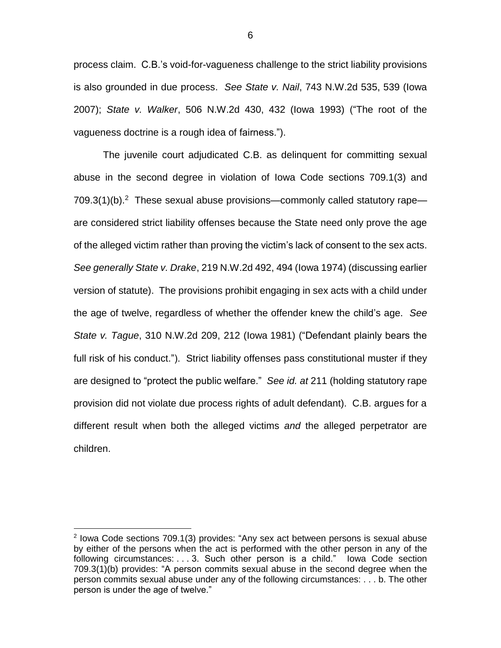process claim. C.B.'s void-for-vagueness challenge to the strict liability provisions is also grounded in due process. *See State v. Nail*, 743 N.W.2d 535, 539 (Iowa 2007); *State v. Walker*, 506 N.W.2d 430, 432 (Iowa 1993) ("The root of the vagueness doctrine is a rough idea of fairness.").

The juvenile court adjudicated C.B. as delinquent for committing sexual abuse in the second degree in violation of Iowa Code sections 709.1(3) and  $709.3(1)$ (b).<sup>2</sup> These sexual abuse provisions—commonly called statutory rape are considered strict liability offenses because the State need only prove the age of the alleged victim rather than proving the victim's lack of consent to the sex acts. *See generally State v. Drake*, 219 N.W.2d 492, 494 (Iowa 1974) (discussing earlier version of statute). The provisions prohibit engaging in sex acts with a child under the age of twelve, regardless of whether the offender knew the child's age. *See State v. Tague*, 310 N.W.2d 209, 212 (Iowa 1981) ("Defendant plainly bears the full risk of his conduct."). Strict liability offenses pass constitutional muster if they are designed to "protect the public welfare." *See id. at* 211 (holding statutory rape provision did not violate due process rights of adult defendant). C.B. argues for a different result when both the alleged victims *and* the alleged perpetrator are children.

 $\overline{a}$ 

<sup>&</sup>lt;sup>2</sup> Iowa Code sections 709.1(3) provides: "Any sex act between persons is sexual abuse by either of the persons when the act is performed with the other person in any of the following circumstances: . . . 3. Such other person is a child." Iowa Code section 709.3(1)(b) provides: "A person commits sexual abuse in the second degree when the person commits sexual abuse under any of the following circumstances: . . . b. The other person is under the age of twelve."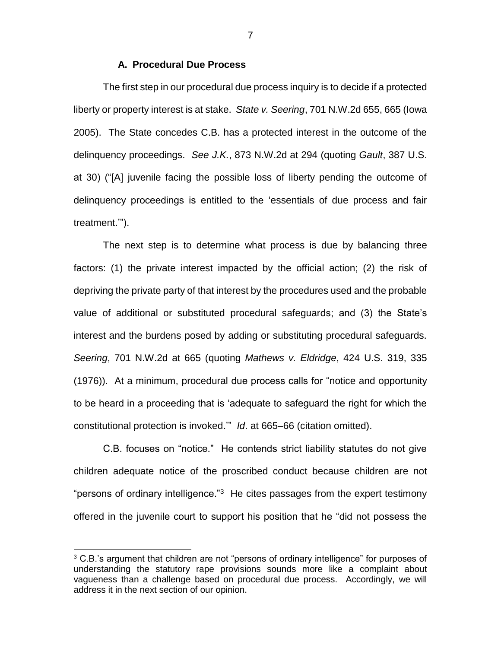## **A. Procedural Due Process**

The first step in our procedural due process inquiry is to decide if a protected liberty or property interest is at stake. *State v. Seering*, 701 N.W.2d 655, 665 (Iowa 2005). The State concedes C.B. has a protected interest in the outcome of the delinquency proceedings. *See J.K.*, 873 N.W.2d at 294 (quoting *Gault*, 387 U.S. at 30) ("[A] juvenile facing the possible loss of liberty pending the outcome of delinquency proceedings is entitled to the 'essentials of due process and fair treatment.'").

The next step is to determine what process is due by balancing three factors: (1) the private interest impacted by the official action; (2) the risk of depriving the private party of that interest by the procedures used and the probable value of additional or substituted procedural safeguards; and (3) the State's interest and the burdens posed by adding or substituting procedural safeguards. *Seering*, 701 N.W.2d at 665 (quoting *Mathews v. Eldridge*, 424 U.S. 319, 335 (1976)). At a minimum, procedural due process calls for "notice and opportunity to be heard in a proceeding that is 'adequate to safeguard the right for which the constitutional protection is invoked.'" *Id*. at 665–66 (citation omitted).

C.B. focuses on "notice." He contends strict liability statutes do not give children adequate notice of the proscribed conduct because children are not "persons of ordinary intelligence."<sup>3</sup> He cites passages from the expert testimony offered in the juvenile court to support his position that he "did not possess the

 $\overline{a}$ 

7

 $3$  C.B.'s argument that children are not "persons of ordinary intelligence" for purposes of understanding the statutory rape provisions sounds more like a complaint about vagueness than a challenge based on procedural due process. Accordingly, we will address it in the next section of our opinion.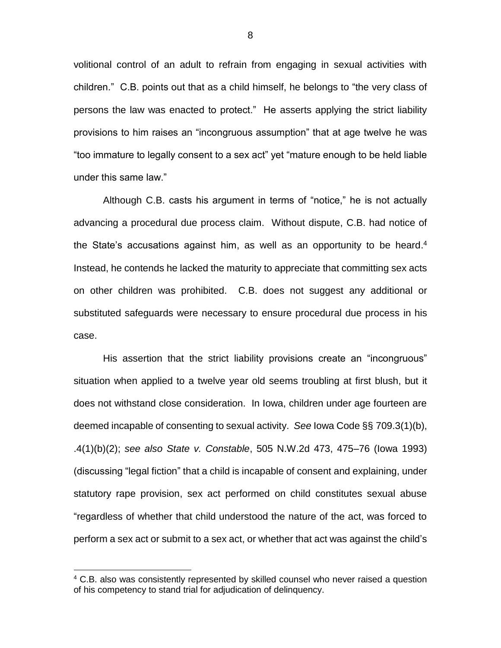volitional control of an adult to refrain from engaging in sexual activities with children." C.B. points out that as a child himself, he belongs to "the very class of persons the law was enacted to protect." He asserts applying the strict liability provisions to him raises an "incongruous assumption" that at age twelve he was "too immature to legally consent to a sex act" yet "mature enough to be held liable under this same law."

Although C.B. casts his argument in terms of "notice," he is not actually advancing a procedural due process claim. Without dispute, C.B. had notice of the State's accusations against him, as well as an opportunity to be heard.<sup>4</sup> Instead, he contends he lacked the maturity to appreciate that committing sex acts on other children was prohibited. C.B. does not suggest any additional or substituted safeguards were necessary to ensure procedural due process in his case.

His assertion that the strict liability provisions create an "incongruous" situation when applied to a twelve year old seems troubling at first blush, but it does not withstand close consideration. In Iowa, children under age fourteen are deemed incapable of consenting to sexual activity. *See* Iowa Code §§ 709.3(1)(b), .4(1)(b)(2); *see also State v. Constable*, 505 N.W.2d 473, 475–76 (Iowa 1993) (discussing "legal fiction" that a child is incapable of consent and explaining, under statutory rape provision, sex act performed on child constitutes sexual abuse "regardless of whether that child understood the nature of the act, was forced to perform a sex act or submit to a sex act, or whether that act was against the child's

 $\overline{a}$ 

<sup>&</sup>lt;sup>4</sup> C.B. also was consistently represented by skilled counsel who never raised a question of his competency to stand trial for adjudication of delinquency.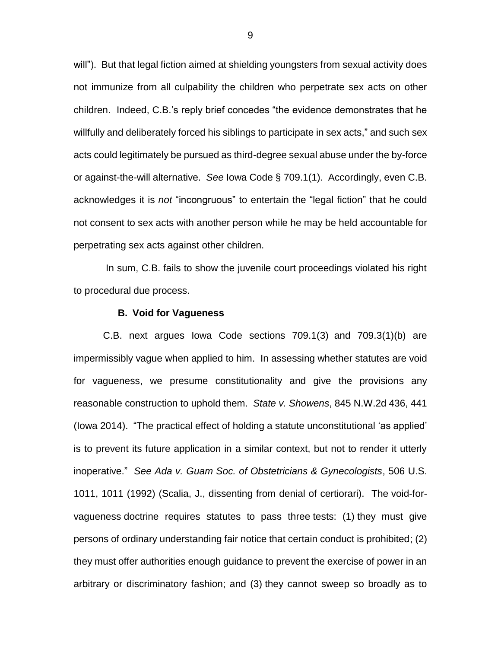will"). But that legal fiction aimed at shielding youngsters from sexual activity does not immunize from all culpability the children who perpetrate sex acts on other children. Indeed, C.B.'s reply brief concedes "the evidence demonstrates that he willfully and deliberately forced his siblings to participate in sex acts," and such sex acts could legitimately be pursued as third-degree sexual abuse under the by-force or against-the-will alternative. *See* Iowa Code § 709.1(1). Accordingly, even C.B. acknowledges it is *not* "incongruous" to entertain the "legal fiction" that he could not consent to sex acts with another person while he may be held accountable for perpetrating sex acts against other children.

In sum, C.B. fails to show the juvenile court proceedings violated his right to procedural due process.

### **B. Void for Vagueness**

C.B. next argues Iowa Code sections 709.1(3) and 709.3(1)(b) are impermissibly vague when applied to him. In assessing whether statutes are void for vagueness, we presume constitutionality and give the provisions any reasonable construction to uphold them. *State v. Showens*, 845 N.W.2d 436, 441 (Iowa 2014). "The practical effect of holding a statute unconstitutional 'as applied' is to prevent its future application in a similar context, but not to render it utterly inoperative." *See Ada v. Guam Soc. of Obstetricians & Gynecologists*, 506 U.S. 1011, 1011 (1992) (Scalia, J., dissenting from denial of certiorari). The void-forvagueness doctrine requires statutes to pass three tests: (1) they must give persons of ordinary understanding fair notice that certain conduct is prohibited; (2) they must offer authorities enough guidance to prevent the exercise of power in an arbitrary or discriminatory fashion; and (3) they cannot sweep so broadly as to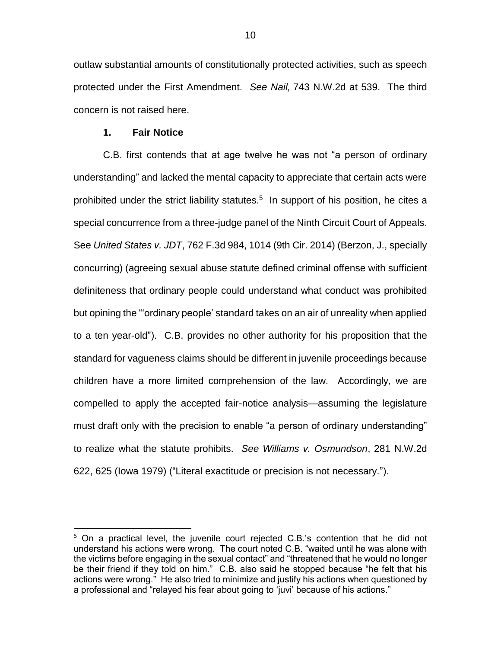outlaw substantial amounts of constitutionally protected activities, such as speech protected under the First Amendment. *See Nail,* 743 N.W.2d at 539. The third concern is not raised here.

#### **1. Fair Notice**

 $\overline{a}$ 

C.B. first contends that at age twelve he was not "a person of ordinary understanding" and lacked the mental capacity to appreciate that certain acts were prohibited under the strict liability statutes. 5 In support of his position, he cites a special concurrence from a three-judge panel of the Ninth Circuit Court of Appeals. See *United States v. JDT*, 762 F.3d 984, 1014 (9th Cir. 2014) (Berzon, J., specially concurring) (agreeing sexual abuse statute defined criminal offense with sufficient definiteness that ordinary people could understand what conduct was prohibited but opining the "'ordinary people' standard takes on an air of unreality when applied to a ten year-old"). C.B. provides no other authority for his proposition that the standard for vagueness claims should be different in juvenile proceedings because children have a more limited comprehension of the law. Accordingly, we are compelled to apply the accepted fair-notice analysis—assuming the legislature must draft only with the precision to enable "a person of ordinary understanding" to realize what the statute prohibits. *See Williams v. Osmundson*, 281 N.W.2d 622, 625 (Iowa 1979) ("Literal exactitude or precision is not necessary.").

<sup>5</sup> On a practical level, the juvenile court rejected C.B.'s contention that he did not understand his actions were wrong. The court noted C.B. "waited until he was alone with the victims before engaging in the sexual contact" and "threatened that he would no longer be their friend if they told on him." C.B. also said he stopped because "he felt that his actions were wrong." He also tried to minimize and justify his actions when questioned by a professional and "relayed his fear about going to 'juvi' because of his actions."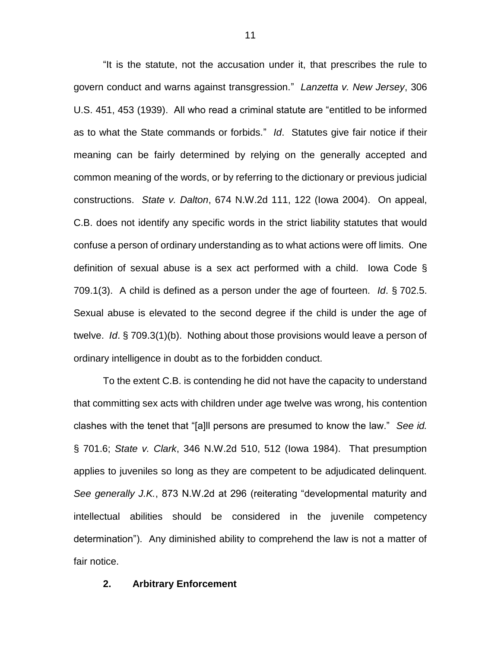"It is the statute, not the accusation under it, that prescribes the rule to govern conduct and warns against transgression." *Lanzetta v. New Jersey*, 306 U.S. 451, 453 (1939). All who read a criminal statute are "entitled to be informed as to what the State commands or forbids." *Id*. Statutes give fair notice if their meaning can be fairly determined by relying on the generally accepted and common meaning of the words, or by referring to the dictionary or previous judicial constructions. *State v. Dalton*, 674 N.W.2d 111, 122 (Iowa 2004). On appeal, C.B. does not identify any specific words in the strict liability statutes that would confuse a person of ordinary understanding as to what actions were off limits. One definition of sexual abuse is a sex act performed with a child. Iowa Code § 709.1(3). A child is defined as a person under the age of fourteen. *Id*. § 702.5. Sexual abuse is elevated to the second degree if the child is under the age of twelve. *Id*. § 709.3(1)(b). Nothing about those provisions would leave a person of ordinary intelligence in doubt as to the forbidden conduct.

To the extent C.B. is contending he did not have the capacity to understand that committing sex acts with children under age twelve was wrong, his contention clashes with the tenet that "[a]ll persons are presumed to know the law." *See id.* § 701.6; *State v. Clark*, 346 N.W.2d 510, 512 (Iowa 1984). That presumption applies to juveniles so long as they are competent to be adjudicated delinquent. *See generally J.K.*, 873 N.W.2d at 296 (reiterating "developmental maturity and intellectual abilities should be considered in the juvenile competency determination"). Any diminished ability to comprehend the law is not a matter of fair notice.

## **2. Arbitrary Enforcement**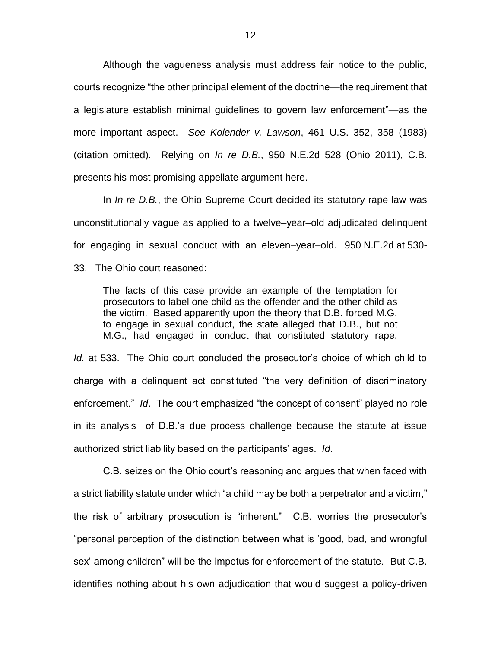Although the vagueness analysis must address fair notice to the public, courts recognize "the other principal element of the doctrine—the requirement that a legislature establish minimal guidelines to govern law enforcement"—as the more important aspect. *See Kolender v. Lawson*, 461 U.S. 352, 358 (1983) (citation omitted). Relying on *In re D.B.*, 950 N.E.2d 528 (Ohio 2011), C.B. presents his most promising appellate argument here.

In *In re D.B.*, the Ohio Supreme Court decided its statutory rape law was unconstitutionally vague as applied to a twelve–year–old adjudicated delinquent for engaging in sexual conduct with an eleven–year–old. 950 N.E.2d at 530-

33. The Ohio court reasoned:

The facts of this case provide an example of the temptation for prosecutors to label one child as the offender and the other child as the victim. Based apparently upon the theory that D.B. forced M.G. to engage in sexual conduct, the state alleged that D.B., but not M.G., had engaged in conduct that constituted statutory rape.

*Id.* at 533. The Ohio court concluded the prosecutor's choice of which child to charge with a delinquent act constituted "the very definition of discriminatory enforcement." *Id*. The court emphasized "the concept of consent" played no role in its analysis of D.B.'s due process challenge because the statute at issue authorized strict liability based on the participants' ages. *Id*.

C.B. seizes on the Ohio court's reasoning and argues that when faced with a strict liability statute under which "a child may be both a perpetrator and a victim," the risk of arbitrary prosecution is "inherent." C.B. worries the prosecutor's "personal perception of the distinction between what is 'good, bad, and wrongful sex' among children" will be the impetus for enforcement of the statute. But C.B. identifies nothing about his own adjudication that would suggest a policy-driven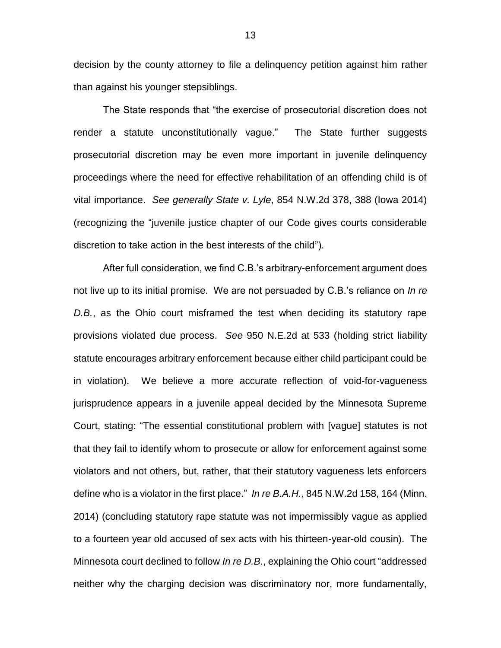decision by the county attorney to file a delinquency petition against him rather than against his younger stepsiblings.

The State responds that "the exercise of prosecutorial discretion does not render a statute unconstitutionally vague." The State further suggests prosecutorial discretion may be even more important in juvenile delinquency proceedings where the need for effective rehabilitation of an offending child is of vital importance. *See generally State v. Lyle*, 854 N.W.2d 378, 388 (Iowa 2014) (recognizing the "juvenile justice chapter of our Code gives courts considerable discretion to take action in the best interests of the child").

After full consideration, we find C.B.'s arbitrary-enforcement argument does not live up to its initial promise. We are not persuaded by C.B.'s reliance on *In re D.B.*, as the Ohio court misframed the test when deciding its statutory rape provisions violated due process. *See* 950 N.E.2d at 533 (holding strict liability statute encourages arbitrary enforcement because either child participant could be in violation). We believe a more accurate reflection of void-for-vagueness jurisprudence appears in a juvenile appeal decided by the Minnesota Supreme Court, stating: "The essential constitutional problem with [vague] statutes is not that they fail to identify whom to prosecute or allow for enforcement against some violators and not others, but, rather, that their statutory vagueness lets enforcers define who is a violator in the first place." *In re B.A.H.*, 845 N.W.2d 158, 164 (Minn. 2014) (concluding statutory rape statute was not impermissibly vague as applied to a fourteen year old accused of sex acts with his thirteen-year-old cousin). The Minnesota court declined to follow *In re D.B.*, explaining the Ohio court "addressed neither why the charging decision was discriminatory nor, more fundamentally,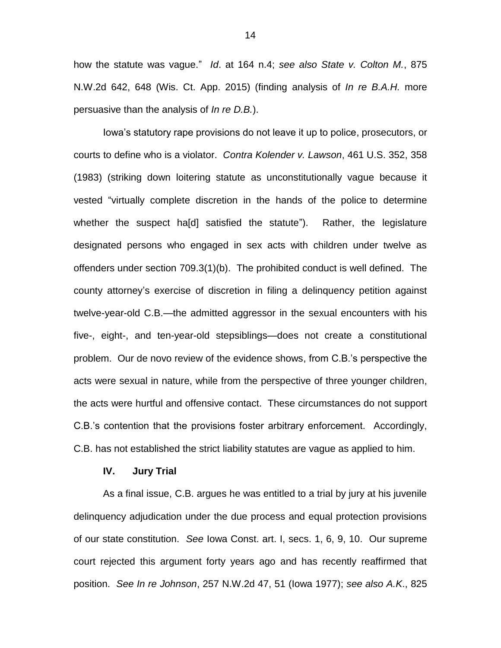how the statute was vague." *Id*. at 164 n.4; *see also State v. Colton M.*, 875 N.W.2d 642, 648 (Wis. Ct. App. 2015) (finding analysis of *In re B.A.H.* more persuasive than the analysis of *In re D.B.*).

Iowa's statutory rape provisions do not leave it up to police, prosecutors, or courts to define who is a violator. *Contra Kolender v. Lawson*, 461 U.S. 352, 358 (1983) (striking down loitering statute as unconstitutionally vague because it vested "virtually complete discretion in the hands of the police to determine whether the suspect ha[d] satisfied the statute"). Rather, the legislature designated persons who engaged in sex acts with children under twelve as offenders under section 709.3(1)(b). The prohibited conduct is well defined. The county attorney's exercise of discretion in filing a delinquency petition against twelve-year-old C.B.—the admitted aggressor in the sexual encounters with his five-, eight-, and ten-year-old stepsiblings—does not create a constitutional problem. Our de novo review of the evidence shows, from C.B.'s perspective the acts were sexual in nature, while from the perspective of three younger children, the acts were hurtful and offensive contact. These circumstances do not support C.B.'s contention that the provisions foster arbitrary enforcement. Accordingly, C.B. has not established the strict liability statutes are vague as applied to him.

# **IV. Jury Trial**

As a final issue, C.B. argues he was entitled to a trial by jury at his juvenile delinquency adjudication under the due process and equal protection provisions of our state constitution. *See* Iowa Const. art. I, secs. 1, 6, 9, 10. Our supreme court rejected this argument forty years ago and has recently reaffirmed that position. *See In re Johnson*, 257 N.W.2d 47, 51 (Iowa 1977); *see also A.K*., 825